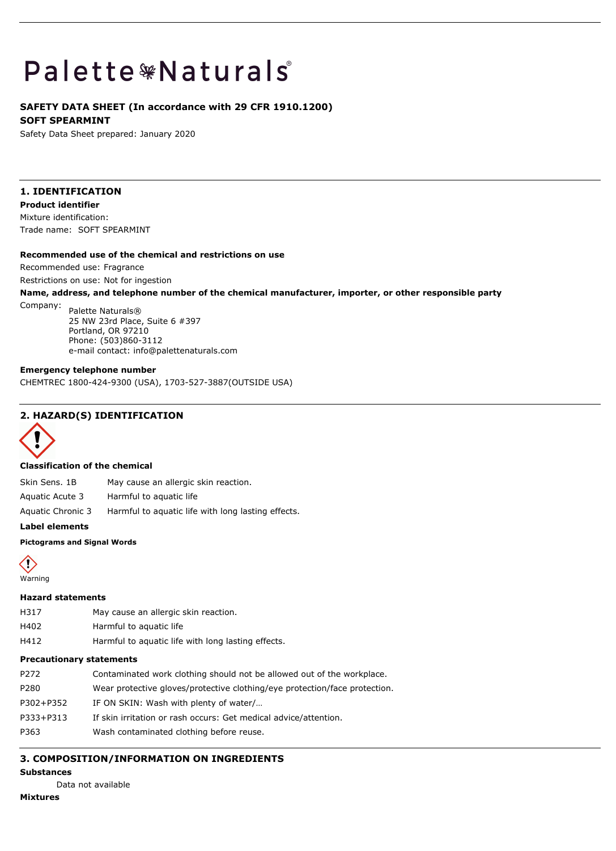# **Palette \*Naturals**

## **SAFETY DATA SHEET (In accordance with 29 CFR 1910.1200) SOFT SPEARMINT**

Safety Data Sheet prepared: January 2020

# **1. IDENTIFICATION**

**Product identifier** Mixture identification:

Trade name: SOFT SPEARMINT

## **Recommended use of the chemical and restrictions on use**

Recommended use: Fragrance

Restrictions on use: Not for ingestion

## **Name, address, and telephone number of the chemical manufacturer, importer, or other responsible party**

Company: Palette Naturals® 25 NW 23rd Place, Suite 6 #397 Portland, OR 97210 Phone: (503)860-3112 e-mail contact: info@palettenaturals.com

## **Emergency telephone number**

CHEMTREC 1800-424-9300 (USA), 1703-527-3887(OUTSIDE USA)

## **2. HAZARD(S) IDENTIFICATION**



## **Classification of the chemical**

Skin Sens. 1B May cause an allergic skin reaction.

Aquatic Acute 3 Harmful to aquatic life

Aquatic Chronic 3 Harmful to aquatic life with long lasting effects.

**Label elements**

#### **Pictograms and Signal Words**



## **Hazard statements**

- H317 May cause an allergic skin reaction.
- H402 Harmful to aquatic life
- H412 Harmful to aquatic life with long lasting effects.

## **Precautionary statements**

| P272      | Contaminated work clothing should not be allowed out of the workplace.     |
|-----------|----------------------------------------------------------------------------|
| P280      | Wear protective gloves/protective clothing/eye protection/face protection. |
| P302+P352 | IF ON SKIN: Wash with plenty of water/                                     |
| P333+P313 | If skin irritation or rash occurs: Get medical advice/attention.           |
| P363      | Wash contaminated clothing before reuse.                                   |

# **3. COMPOSITION/INFORMATION ON INGREDIENTS**

# **Substances**

Data not available

# **Mixtures**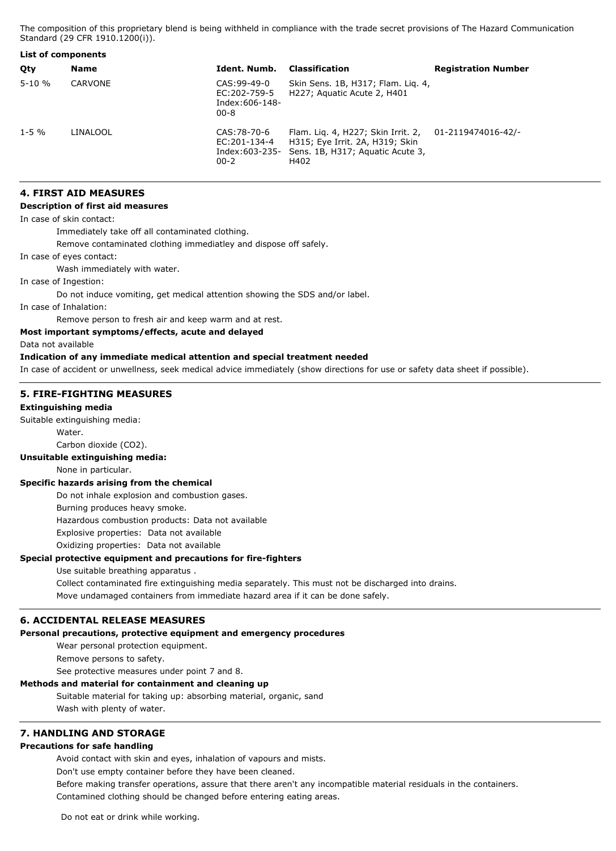The composition of this proprietary blend is being withheld in compliance with the trade secret provisions of The Hazard Communication Standard (29 CFR 1910.1200(i)).

| List of components |             |                                                            |                                                                                                                   |                            |
|--------------------|-------------|------------------------------------------------------------|-------------------------------------------------------------------------------------------------------------------|----------------------------|
| Qty                | <b>Name</b> | Ident. Numb.                                               | <b>Classification</b>                                                                                             | <b>Registration Number</b> |
| $5 - 10 \%$        | CARVONE     | CAS:99-49-0<br>EC:202-759-5<br>Index: 606-148-<br>$00 - 8$ | Skin Sens. 1B, H317; Flam. Lig. 4,<br>H227; Aguatic Acute 2, H401                                                 |                            |
| $1 - 5$ %          | LINALOOL    | CAS: 78-70-6<br>EC:201-134-4<br>Index:603-235-<br>$00 - 2$ | Flam. Lig. 4, H227; Skin Irrit. 2,<br>H315; Eye Irrit. 2A, H319; Skin<br>Sens. 1B, H317; Aguatic Acute 3,<br>H402 | 01-2119474016-42/-         |

## **4. FIRST AID MEASURES**

#### **Description of first aid measures**

In case of skin contact:

Immediately take off all contaminated clothing.

Remove contaminated clothing immediatley and dispose off safely.

In case of eyes contact:

Wash immediately with water.

In case of Ingestion:

Do not induce vomiting, get medical attention showing the SDS and/or label.

In case of Inhalation:

Remove person to fresh air and keep warm and at rest.

**Most important symptoms/effects, acute and delayed**

Data not available

#### **Indication of any immediate medical attention and special treatment needed**

In case of accident or unwellness, seek medical advice immediately (show directions for use or safety data sheet if possible).

#### **5. FIRE-FIGHTING MEASURES**

#### **Extinguishing media**

Suitable extinguishing media:

Water.

Carbon dioxide (CO2).

#### **Unsuitable extinguishing media:**

None in particular.

#### **Specific hazards arising from the chemical**

Do not inhale explosion and combustion gases.

Burning produces heavy smoke.

Hazardous combustion products: Data not available

Explosive properties: Data not available

Oxidizing properties: Data not available

## **Special protective equipment and precautions for fire-fighters**

Use suitable breathing apparatus .

Collect contaminated fire extinguishing media separately. This must not be discharged into drains. Move undamaged containers from immediate hazard area if it can be done safely.

#### **6. ACCIDENTAL RELEASE MEASURES**

#### **Personal precautions, protective equipment and emergency procedures**

Wear personal protection equipment.

Remove persons to safety.

See protective measures under point 7 and 8.

## **Methods and material for containment and cleaning up**

Suitable material for taking up: absorbing material, organic, sand Wash with plenty of water.

## **7. HANDLING AND STORAGE**

## **Precautions for safe handling**

Avoid contact with skin and eyes, inhalation of vapours and mists.

Don't use empty container before they have been cleaned.

Before making transfer operations, assure that there aren't any incompatible material residuals in the containers. Contamined clothing should be changed before entering eating areas.

Do not eat or drink while working.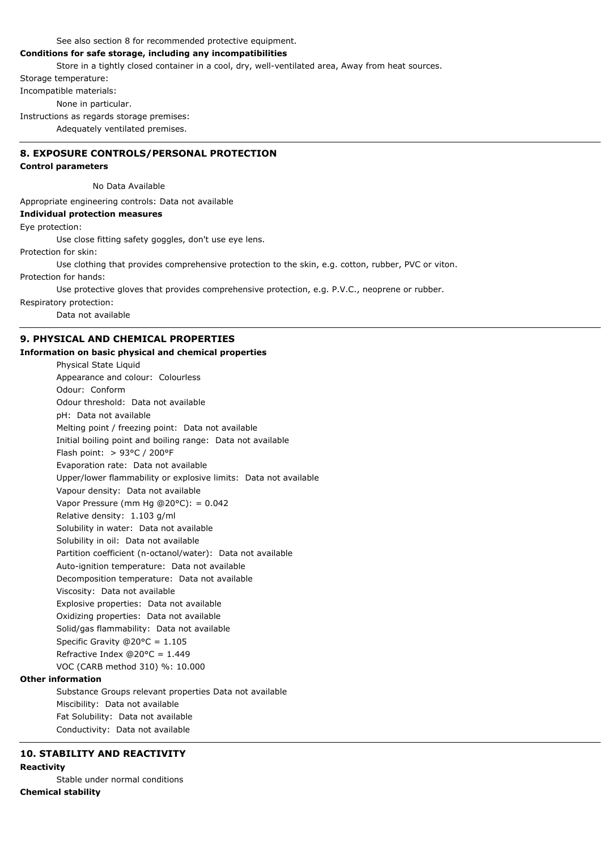See also section 8 for recommended protective equipment.

## **Conditions for safe storage, including any incompatibilities**

Store in a tightly closed container in a cool, dry, well-ventilated area, Away from heat sources.

Storage temperature:

Incompatible materials:

None in particular.

Instructions as regards storage premises:

Adequately ventilated premises.

# **8. EXPOSURE CONTROLS/PERSONAL PROTECTION**

## **Control parameters**

No Data Available

Appropriate engineering controls: Data not available

## **Individual protection measures**

Eye protection:

Use close fitting safety goggles, don't use eye lens.

Protection for skin:

Use clothing that provides comprehensive protection to the skin, e.g. cotton, rubber, PVC or viton.

Protection for hands:

Use protective gloves that provides comprehensive protection, e.g. P.V.C., neoprene or rubber.

Respiratory protection:

Data not available

# **9. PHYSICAL AND CHEMICAL PROPERTIES**

## **Information on basic physical and chemical properties**

Physical State Liquid Appearance and colour: Colourless Odour: Conform Odour threshold: Data not available pH: Data not available Melting point / freezing point: Data not available Initial boiling point and boiling range: Data not available Flash point: > 93°C / 200°F Evaporation rate: Data not available Upper/lower flammability or explosive limits: Data not available Vapour density: Data not available Vapor Pressure (mm Hg @20°C): = 0.042 Relative density: 1.103 g/ml Solubility in water: Data not available Solubility in oil: Data not available Partition coefficient (n-octanol/water): Data not available Auto-ignition temperature: Data not available Decomposition temperature: Data not available Viscosity: Data not available Explosive properties: Data not available Oxidizing properties: Data not available Solid/gas flammability: Data not available Specific Gravity @20°C = 1.105 Refractive Index @20°C = 1.449 VOC (CARB method 310) %: 10.000

# **Other information**

Substance Groups relevant properties Data not available Miscibility: Data not available Fat Solubility: Data not available Conductivity: Data not available

# **10. STABILITY AND REACTIVITY**

## **Reactivity**

Stable under normal conditions **Chemical stability**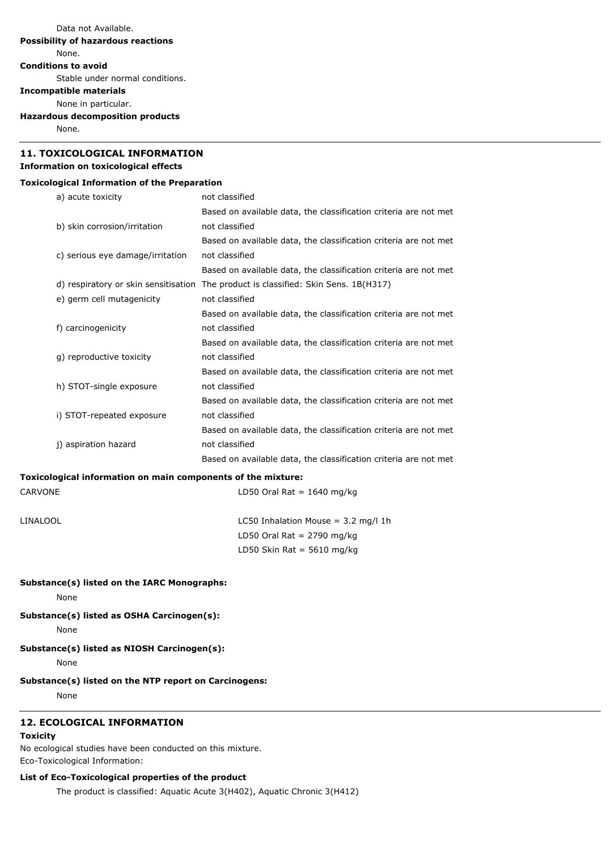# **11. TOXICOLOGICAL INFORMATION**

# **Information on toxicological effects**

## **Toxicological Information of the Preparation**

| a) acute toxicity                    | not classified                                                   |  |  |
|--------------------------------------|------------------------------------------------------------------|--|--|
|                                      | Based on available data, the classification criteria are not met |  |  |
| b) skin corrosion/irritation         | not classified                                                   |  |  |
|                                      | Based on available data, the classification criteria are not met |  |  |
| c) serious eye damage/irritation     | not classified                                                   |  |  |
|                                      | Based on available data, the classification criteria are not met |  |  |
| d) respiratory or skin sensitisation | The product is classified: Skin Sens. 1B(H317)                   |  |  |
| e) germ cell mutagenicity            | not classified                                                   |  |  |
|                                      | Based on available data, the classification criteria are not met |  |  |
| f) carcinogenicity                   | not classified                                                   |  |  |
|                                      | Based on available data, the classification criteria are not met |  |  |
| q) reproductive toxicity             | not classified                                                   |  |  |
|                                      | Based on available data, the classification criteria are not met |  |  |
| h) STOT-single exposure              | not classified                                                   |  |  |
|                                      | Based on available data, the classification criteria are not met |  |  |
| i) STOT-repeated exposure            | not classified                                                   |  |  |
|                                      | Based on available data, the classification criteria are not met |  |  |
| j) aspiration hazard                 | not classified                                                   |  |  |
|                                      | Based on available data, the classification criteria are not met |  |  |

## **Toxicological information on main components of the mixture:**

| CARVONE | LD50 Oral Rat = $1640$ mg/kg |  |  |
|---------|------------------------------|--|--|
|         |                              |  |  |

LINALOOL LINALOOL LC50 Inhalation Mouse = 3.2 mg/l 1h LD50 Oral Rat =  $2790$  mg/kg LD50 Skin Rat =  $5610$  mg/kg

## **Substance(s) listed on the IARC Monographs:**

None

**Substance(s) listed as OSHA Carcinogen(s):**

None

# **Substance(s) listed as NIOSH Carcinogen(s):**

None

## **Substance(s) listed on the NTP report on Carcinogens:**

None

# **12. ECOLOGICAL INFORMATION**

# **Toxicity**

No ecological studies have been conducted on this mixture. Eco-Toxicological Information:

## **List of Eco-Toxicological properties of the product**

The product is classified: Aquatic Acute 3(H402), Aquatic Chronic 3(H412)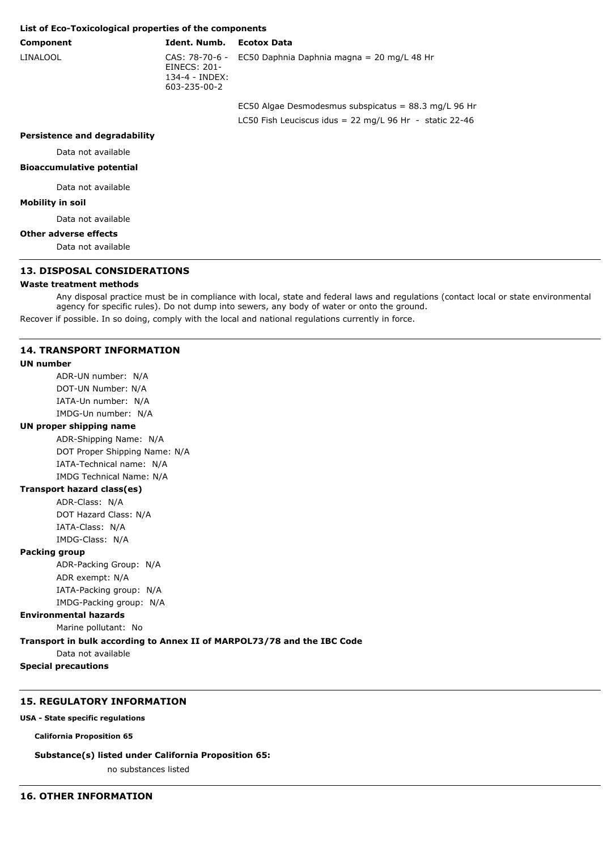### **List of Eco-Toxicological properties of the components**

## **Component Ident. Numb. Ecotox Data**

LINALOOL CAS: 78-70-6 - EINECS: 201- 134-4 - INDEX: 603-235-00-2

EC50 Daphnia Daphnia magna = 20 mg/L 48 Hr

EC50 Algae Desmodesmus subspicatus = 88.3 mg/L 96 Hr LC50 Fish Leuciscus idus = 22 mg/L 96 Hr - static 22-46

#### **Persistence and degradability**

Data not available

#### **Bioaccumulative potential**

Data not available

#### **Mobility in soil**

Data not available

#### **Other adverse effects**

Data not available

## **13. DISPOSAL CONSIDERATIONS**

#### **Waste treatment methods**

Any disposal practice must be in compliance with local, state and federal laws and regulations (contact local or state environmental agency for specific rules). Do not dump into sewers, any body of water or onto the ground.

Recover if possible. In so doing, comply with the local and national regulations currently in force.

#### **14. TRANSPORT INFORMATION**

#### **UN number**

ADR-UN number: N/A DOT-UN Number: N/A IATA-Un number: N/A IMDG-Un number: N/A

#### **UN proper shipping name**

ADR-Shipping Name: N/A DOT Proper Shipping Name: N/A IATA-Technical name: N/A IMDG Technical Name: N/A

#### **Transport hazard class(es)**

ADR-Class: N/A DOT Hazard Class: N/A IATA-Class: N/A IMDG-Class: N/A

#### **Packing group**

ADR-Packing Group: N/A ADR exempt: N/A IATA-Packing group: N/A IMDG-Packing group: N/A

#### **Environmental hazards**

Marine pollutant: No

#### **Transport in bulk according to Annex II of MARPOL73/78 and the IBC Code**

Data not available

**Special precautions**

## **15. REGULATORY INFORMATION**

**USA - State specific regulations**

**California Proposition 65**

#### **Substance(s) listed under California Proposition 65:**

no substances listed